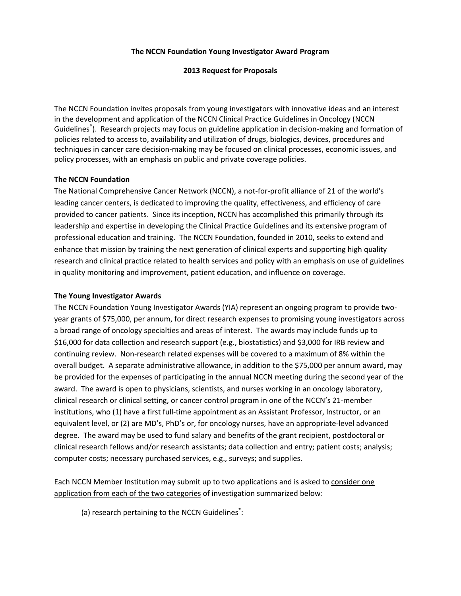#### **The NCCN Foundation Young Investigator Award Program**

### **2013 Request for Proposals**

The NCCN Foundation invites proposals from young investigators with innovative ideas and an interest in the development and application of the NCCN Clinical Practice Guidelines in Oncology (NCCN Guidelines® ). Research projects may focus on guideline application in decision‐making and formation of policies related to access to, availability and utilization of drugs, biologics, devices, procedures and techniques in cancer care decision‐making may be focused on clinical processes, economic issues, and policy processes, with an emphasis on public and private coverage policies.

## **The NCCN Foundation**

The National Comprehensive Cancer Network (NCCN), a not‐for‐profit alliance of 21 of the world's leading cancer centers, is dedicated to improving the quality, effectiveness, and efficiency of care provided to cancer patients. Since its inception, NCCN has accomplished this primarily through its leadership and expertise in developing the Clinical Practice Guidelines and its extensive program of professional education and training. The NCCN Foundation, founded in 2010, seeks to extend and enhance that mission by training the next generation of clinical experts and supporting high quality research and clinical practice related to health services and policy with an emphasis on use of guidelines in quality monitoring and improvement, patient education, and influence on coverage.

#### **The Young Investigator Awards**

The NCCN Foundation Young Investigator Awards (YIA) represent an ongoing program to provide two‐ year grants of \$75,000, per annum, for direct research expenses to promising young investigators across a broad range of oncology specialties and areas of interest. The awards may include funds up to \$16,000 for data collection and research support (e.g., biostatistics) and \$3,000 for IRB review and continuing review. Non-research related expenses will be covered to a maximum of 8% within the overall budget. A separate administrative allowance, in addition to the \$75,000 per annum award, may be provided for the expenses of participating in the annual NCCN meeting during the second year of the award. The award is open to physicians, scientists, and nurses working in an oncology laboratory, clinical research or clinical setting, or cancer control program in one of the NCCN's 21‐member institutions, who (1) have a first full‐time appointment as an Assistant Professor, Instructor, or an equivalent level, or (2) are MD's, PhD's or, for oncology nurses, have an appropriate-level advanced degree. The award may be used to fund salary and benefits of the grant recipient, postdoctoral or clinical research fellows and/or research assistants; data collection and entry; patient costs; analysis; computer costs; necessary purchased services, e.g., surveys; and supplies.

Each NCCN Member Institution may submit up to two applications and is asked to consider one application from each of the two categories of investigation summarized below:

(a) research pertaining to the NCCN Guidelines<sup>®</sup>: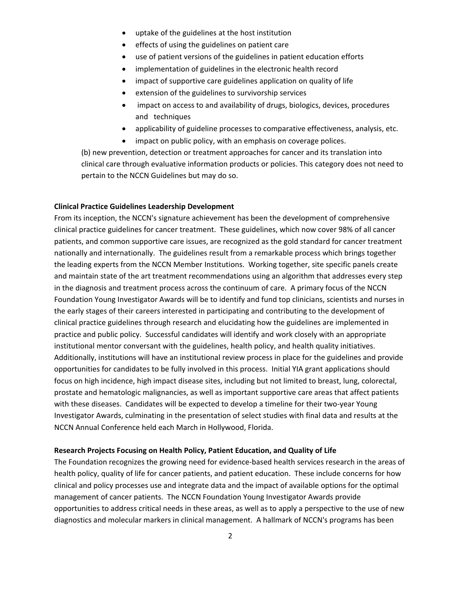- uptake of the guidelines at the host institution
- **•** effects of using the guidelines on patient care
- use of patient versions of the guidelines in patient education efforts
- implementation of guidelines in the electronic health record
- impact of supportive care guidelines application on quality of life
- extension of the guidelines to survivorship services
- impact on access to and availability of drugs, biologics, devices, procedures and techniques
- applicability of guideline processes to comparative effectiveness, analysis, etc.
- impact on public policy, with an emphasis on coverage polices.

(b) new prevention, detection or treatment approaches for cancer and its translation into clinical care through evaluative information products or policies. This category does not need to pertain to the NCCN Guidelines but may do so.

#### **Clinical Practice Guidelines Leadership Development**

From its inception, the NCCN's signature achievement has been the development of comprehensive clinical practice guidelines for cancer treatment. These guidelines, which now cover 98% of all cancer patients, and common supportive care issues, are recognized as the gold standard for cancer treatment nationally and internationally. The guidelines result from a remarkable process which brings together the leading experts from the NCCN Member Institutions. Working together, site specific panels create and maintain state of the art treatment recommendations using an algorithm that addresses every step in the diagnosis and treatment process across the continuum of care. A primary focus of the NCCN Foundation Young Investigator Awards will be to identify and fund top clinicians, scientists and nurses in the early stages of their careers interested in participating and contributing to the development of clinical practice guidelines through research and elucidating how the guidelines are implemented in practice and public policy. Successful candidates will identify and work closely with an appropriate institutional mentor conversant with the guidelines, health policy, and health quality initiatives. Additionally, institutions will have an institutional review process in place for the guidelines and provide opportunities for candidates to be fully involved in this process. Initial YIA grant applications should focus on high incidence, high impact disease sites, including but not limited to breast, lung, colorectal, prostate and hematologic malignancies, as well as important supportive care areas that affect patients with these diseases. Candidates will be expected to develop a timeline for their two‐year Young Investigator Awards, culminating in the presentation of select studies with final data and results at the NCCN Annual Conference held each March in Hollywood, Florida.

#### **Research Projects Focusing on Health Policy, Patient Education, and Quality of Life**

The Foundation recognizes the growing need for evidence‐based health services research in the areas of health policy, quality of life for cancer patients, and patient education. These include concerns for how clinical and policy processes use and integrate data and the impact of available options for the optimal management of cancer patients. The NCCN Foundation Young Investigator Awards provide opportunities to address critical needs in these areas, as well as to apply a perspective to the use of new diagnostics and molecular markers in clinical management. A hallmark of NCCN's programs has been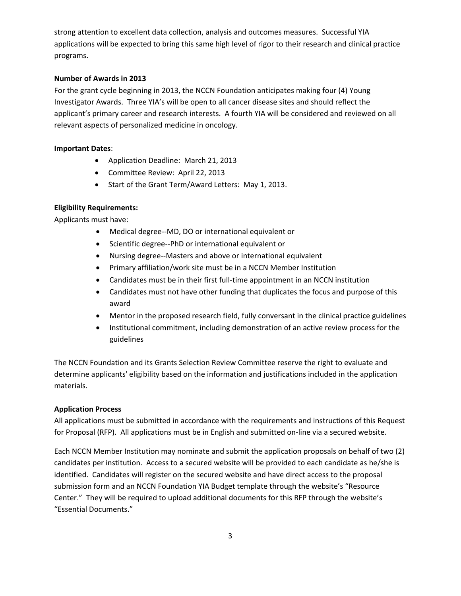strong attention to excellent data collection, analysis and outcomes measures. Successful YIA applications will be expected to bring this same high level of rigor to their research and clinical practice programs.

### **Number of Awards in 2013**

For the grant cycle beginning in 2013, the NCCN Foundation anticipates making four (4) Young Investigator Awards. Three YIA's will be open to all cancer disease sites and should reflect the applicant's primary career and research interests. A fourth YIA will be considered and reviewed on all relevant aspects of personalized medicine in oncology.

#### **Important Dates**:

- Application Deadline: March 21, 2013
- Committee Review: April 22, 2013
- Start of the Grant Term/Award Letters: May 1, 2013.

## **Eligibility Requirements:**

Applicants must have:

- Medical degree--MD, DO or international equivalent or
- Scientific degree--PhD or international equivalent or
- Nursing degree--Masters and above or international equivalent
- Primary affiliation/work site must be in a NCCN Member Institution
- Candidates must be in their first full-time appointment in an NCCN institution
- Candidates must not have other funding that duplicates the focus and purpose of this award
- Mentor in the proposed research field, fully conversant in the clinical practice guidelines
- Institutional commitment, including demonstration of an active review process for the guidelines

The NCCN Foundation and its Grants Selection Review Committee reserve the right to evaluate and determine applicants' eligibility based on the information and justifications included in the application materials.

## **Application Process**

All applications must be submitted in accordance with the requirements and instructions of this Request for Proposal (RFP). All applications must be in English and submitted on-line via a secured website.

Each NCCN Member Institution may nominate and submit the application proposals on behalf of two (2) candidates per institution. Access to a secured website will be provided to each candidate as he/she is identified. Candidates will register on the secured website and have direct access to the proposal submission form and an NCCN Foundation YIA Budget template through the website's "Resource Center." They will be required to upload additional documents for this RFP through the website's "Essential Documents."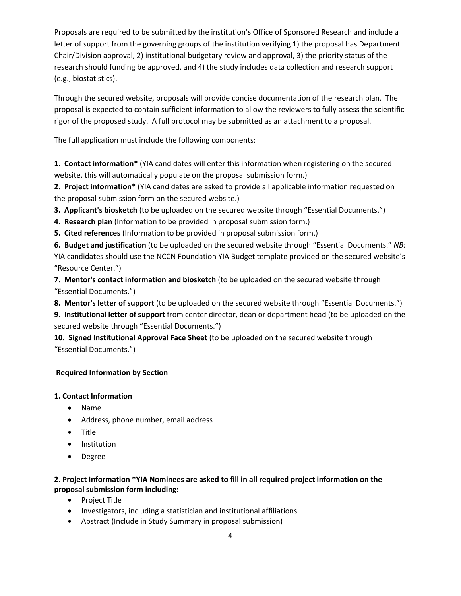Proposals are required to be submitted by the institution's Office of Sponsored Research and include a letter of support from the governing groups of the institution verifying 1) the proposal has Department Chair/Division approval, 2) institutional budgetary review and approval, 3) the priority status of the research should funding be approved, and 4) the study includes data collection and research support (e.g., biostatistics).

Through the secured website, proposals will provide concise documentation of the research plan. The proposal is expected to contain sufficient information to allow the reviewers to fully assess the scientific rigor of the proposed study. A full protocol may be submitted as an attachment to a proposal.

The full application must include the following components:

**1. Contact information\*** (YIA candidates will enter this information when registering on the secured website, this will automatically populate on the proposal submission form.)

**2. Project information\*** (YIA candidates are asked to provide all applicable information requested on the proposal submission form on the secured website.)

**3. Applicant's biosketch** (to be uploaded on the secured website through "Essential Documents.")

**4. Research plan** (Information to be provided in proposal submission form.)

**5. Cited references** (Information to be provided in proposal submission form.)

**6. Budget and justification** (to be uploaded on the secured website through "Essential Documents." *NB:* YIA candidates should use the NCCN Foundation YIA Budget template provided on the secured website's "Resource Center.")

**7. Mentor's contact information and biosketch** (to be uploaded on the secured website through "Essential Documents.")

**8. Mentor's letter of support** (to be uploaded on the secured website through "Essential Documents.")

**9. Institutional letter of support** from center director, dean or department head (to be uploaded on the secured website through "Essential Documents.")

**10. Signed Institutional Approval Face Sheet** (to be uploaded on the secured website through "Essential Documents.")

# **Required Information by Section**

# **1. Contact Information**

- Name
- Address, phone number, email address
- Title
- Institution
- Degree

# **2. Project Information \*YIA Nominees are asked to fill in all required project information on the proposal submission form including:**

- Project Title
- Investigators, including a statistician and institutional affiliations
- Abstract (Include in Study Summary in proposal submission)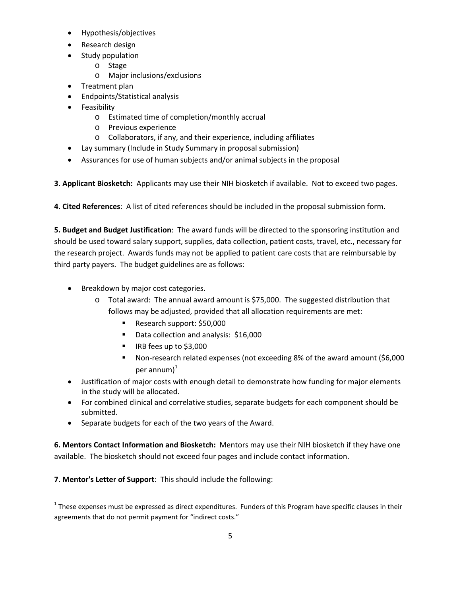- Hypothesis/objectives
- Research design
- Study population
	- o Stage
	- o Major inclusions/exclusions
- Treatment plan
- Endpoints/Statistical analysis
- **•** Feasibility
	- o Estimated time of completion/monthly accrual
	- o Previous experience
	- o Collaborators, if any, and their experience, including affiliates
- Lay summary (Include in Study Summary in proposal submission)
- Assurances for use of human subjects and/or animal subjects in the proposal

**3. Applicant Biosketch:** Applicants may use their NIH biosketch if available. Not to exceed two pages.

**4. Cited References**: A list of cited references should be included in the proposal submission form.

**5. Budget and Budget Justification**: The award funds will be directed to the sponsoring institution and should be used toward salary support, supplies, data collection, patient costs, travel, etc., necessary for the research project. Awards funds may not be applied to patient care costs that are reimbursable by third party payers. The budget guidelines are as follows:

- Breakdown by major cost categories.
	- o Total award: The annual award amount is \$75,000. The suggested distribution that follows may be adjusted, provided that all allocation requirements are met:
		- Research support: \$50,000
		- Data collection and analysis: \$16,000
		- IRB fees up to \$3,000
		- Non-research related expenses (not exceeding 8% of the award amount (\$6,000 per annum $)^1$
- Justification of major costs with enough detail to demonstrate how funding for major elements in the study will be allocated.
- For combined clinical and correlative studies, separate budgets for each component should be submitted.
- Separate budgets for each of the two years of the Award.

**6. Mentors Contact Information and Biosketch:** Mentors may use their NIH biosketch if they have one available. The biosketch should not exceed four pages and include contact information.

**7. Mentor's Letter of Support**: This should include the following:

  $1$  These expenses must be expressed as direct expenditures. Funders of this Program have specific clauses in their agreements that do not permit payment for "indirect costs."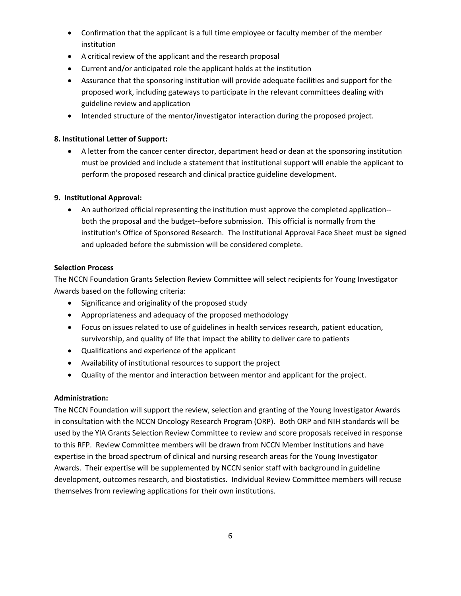- Confirmation that the applicant is a full time employee or faculty member of the member institution
- A critical review of the applicant and the research proposal
- Current and/or anticipated role the applicant holds at the institution
- Assurance that the sponsoring institution will provide adequate facilities and support for the proposed work, including gateways to participate in the relevant committees dealing with guideline review and application
- Intended structure of the mentor/investigator interaction during the proposed project.

# **8. Institutional Letter of Support:**

 A letter from the cancer center director, department head or dean at the sponsoring institution must be provided and include a statement that institutional support will enable the applicant to perform the proposed research and clinical practice guideline development.

# **9. Institutional Approval:**

 An authorized official representing the institution must approve the completed application‐‐ both the proposal and the budget--before submission. This official is normally from the institution's Office of Sponsored Research. The Institutional Approval Face Sheet must be signed and uploaded before the submission will be considered complete.

## **Selection Process**

The NCCN Foundation Grants Selection Review Committee will select recipients for Young Investigator Awards based on the following criteria:

- Significance and originality of the proposed study
- Appropriateness and adequacy of the proposed methodology
- Focus on issues related to use of guidelines in health services research, patient education, survivorship, and quality of life that impact the ability to deliver care to patients
- Qualifications and experience of the applicant
- Availability of institutional resources to support the project
- Quality of the mentor and interaction between mentor and applicant for the project.

## **Administration:**

The NCCN Foundation will support the review, selection and granting of the Young Investigator Awards in consultation with the NCCN Oncology Research Program (ORP). Both ORP and NIH standards will be used by the YIA Grants Selection Review Committee to review and score proposals received in response to this RFP. Review Committee members will be drawn from NCCN Member Institutions and have expertise in the broad spectrum of clinical and nursing research areas for the Young Investigator Awards. Their expertise will be supplemented by NCCN senior staff with background in guideline development, outcomes research, and biostatistics. Individual Review Committee members will recuse themselves from reviewing applications for their own institutions.